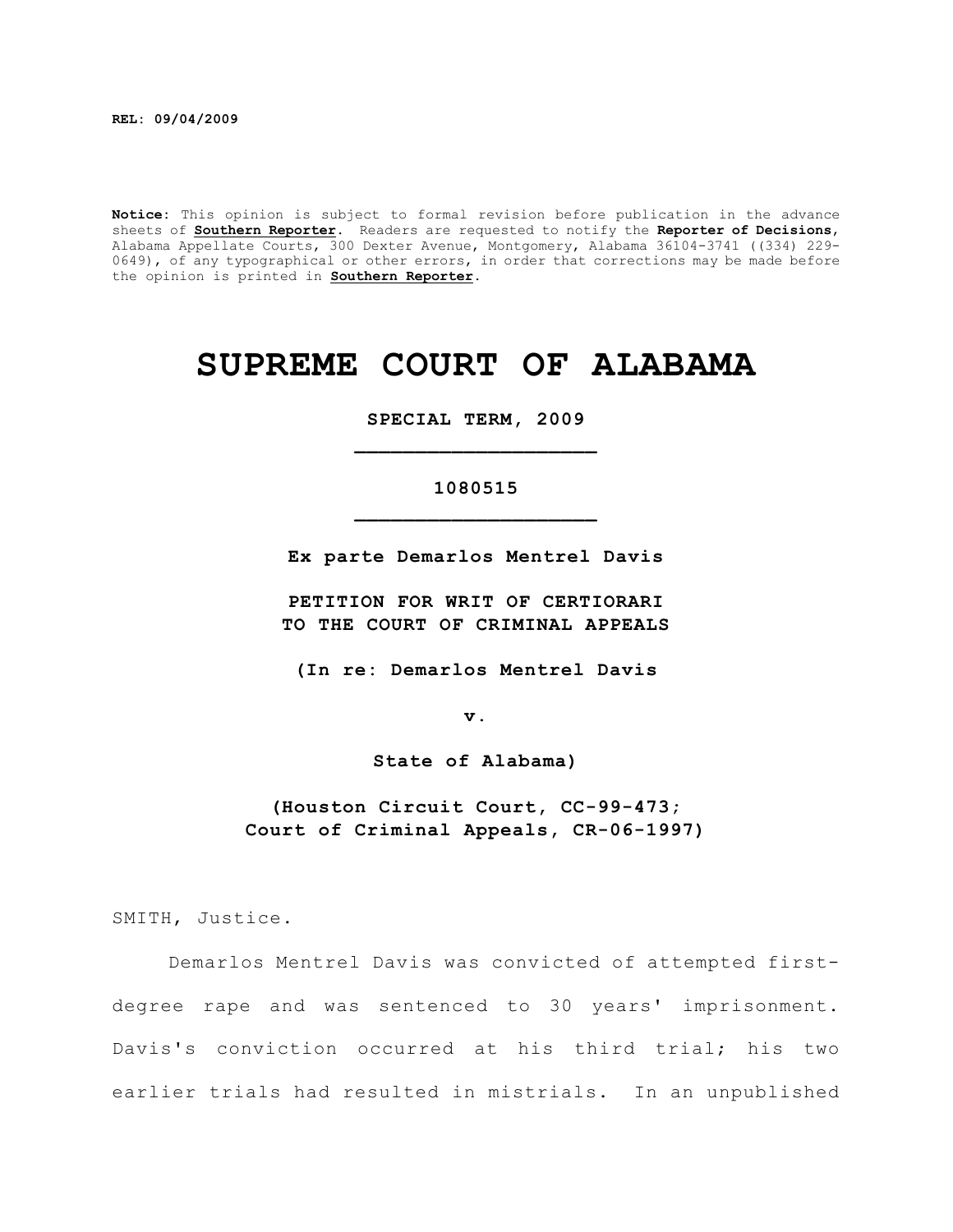**Notice:** This opinion is subject to formal revision before publication in the advance sheets of **Southern Reporter**. Readers are requested to notify the **Reporter of Decisions**, Alabama Appellate Courts, 300 Dexter Avenue, Montgomery, Alabama 36104-3741 ((334) 229- 0649), of any typographical or other errors, in order that corrections may be made before the opinion is printed in **Southern Reporter**.

# **SUPREME COURT OF ALABAMA**

**SPECIAL TERM, 2009 \_\_\_\_\_\_\_\_\_\_\_\_\_\_\_\_\_\_\_\_**

## **1080515 \_\_\_\_\_\_\_\_\_\_\_\_\_\_\_\_\_\_\_\_**

**Ex parte Demarlos Mentrel Davis**

**PETITION FOR WRIT OF CERTIORARI TO THE COURT OF CRIMINAL APPEALS**

**(In re: Demarlos Mentrel Davis**

**v.**

**State of Alabama)**

**(Houston Circuit Court, CC-99-473; Court of Criminal Appeals, CR-06-1997)**

SMITH, Justice.

Demarlos Mentrel Davis was convicted of attempted firstdegree rape and was sentenced to 30 years' imprisonment. Davis's conviction occurred at his third trial; his two earlier trials had resulted in mistrials. In an unpublished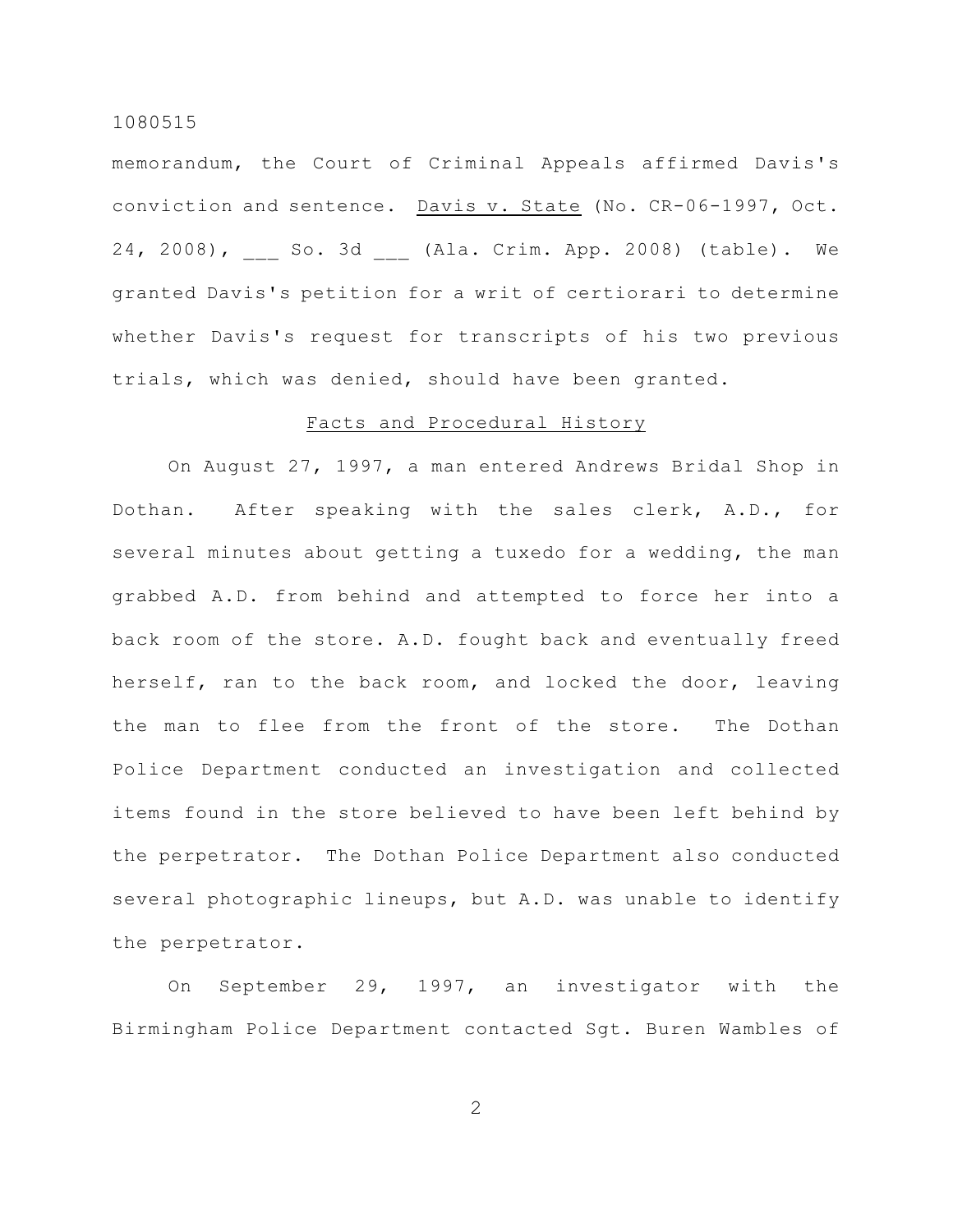memorandum, the Court of Criminal Appeals affirmed Davis's conviction and sentence. Davis v. State (No. CR-06-1997, Oct. 24, 2008), \_\_\_ So. 3d \_\_\_ (Ala. Crim. App. 2008) (table). We granted Davis's petition for a writ of certiorari to determine whether Davis's request for transcripts of his two previous trials, which was denied, should have been granted.

## Facts and Procedural History

On August 27, 1997, a man entered Andrews Bridal Shop in Dothan. After speaking with the sales clerk, A.D., for several minutes about getting a tuxedo for a wedding, the man grabbed A.D. from behind and attempted to force her into a back room of the store. A.D. fought back and eventually freed herself, ran to the back room, and locked the door, leaving the man to flee from the front of the store. The Dothan Police Department conducted an investigation and collected items found in the store believed to have been left behind by the perpetrator. The Dothan Police Department also conducted several photographic lineups, but A.D. was unable to identify the perpetrator.

On September 29, 1997, an investigator with the Birmingham Police Department contacted Sgt. Buren Wambles of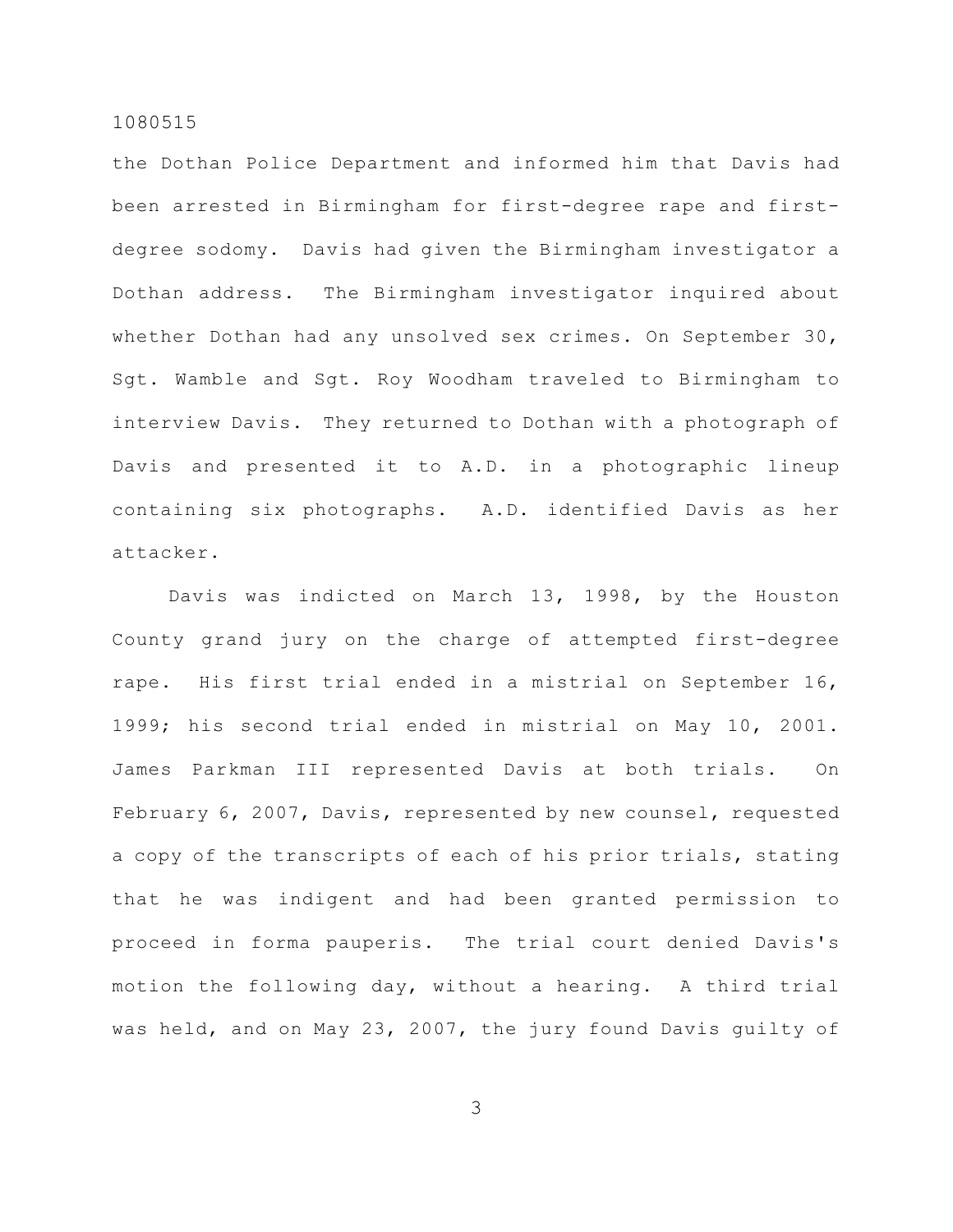the Dothan Police Department and informed him that Davis had been arrested in Birmingham for first-degree rape and firstdegree sodomy. Davis had given the Birmingham investigator a Dothan address. The Birmingham investigator inquired about whether Dothan had any unsolved sex crimes. On September 30, Sgt. Wamble and Sgt. Roy Woodham traveled to Birmingham to interview Davis. They returned to Dothan with a photograph of Davis and presented it to A.D. in a photographic lineup containing six photographs. A.D. identified Davis as her attacker.

Davis was indicted on March 13, 1998, by the Houston County grand jury on the charge of attempted first-degree rape. His first trial ended in a mistrial on September 16, 1999; his second trial ended in mistrial on May 10, 2001. James Parkman III represented Davis at both trials. On February 6, 2007, Davis, represented by new counsel, requested a copy of the transcripts of each of his prior trials, stating that he was indigent and had been granted permission to proceed in forma pauperis. The trial court denied Davis's motion the following day, without a hearing. A third trial was held, and on May 23, 2007, the jury found Davis guilty of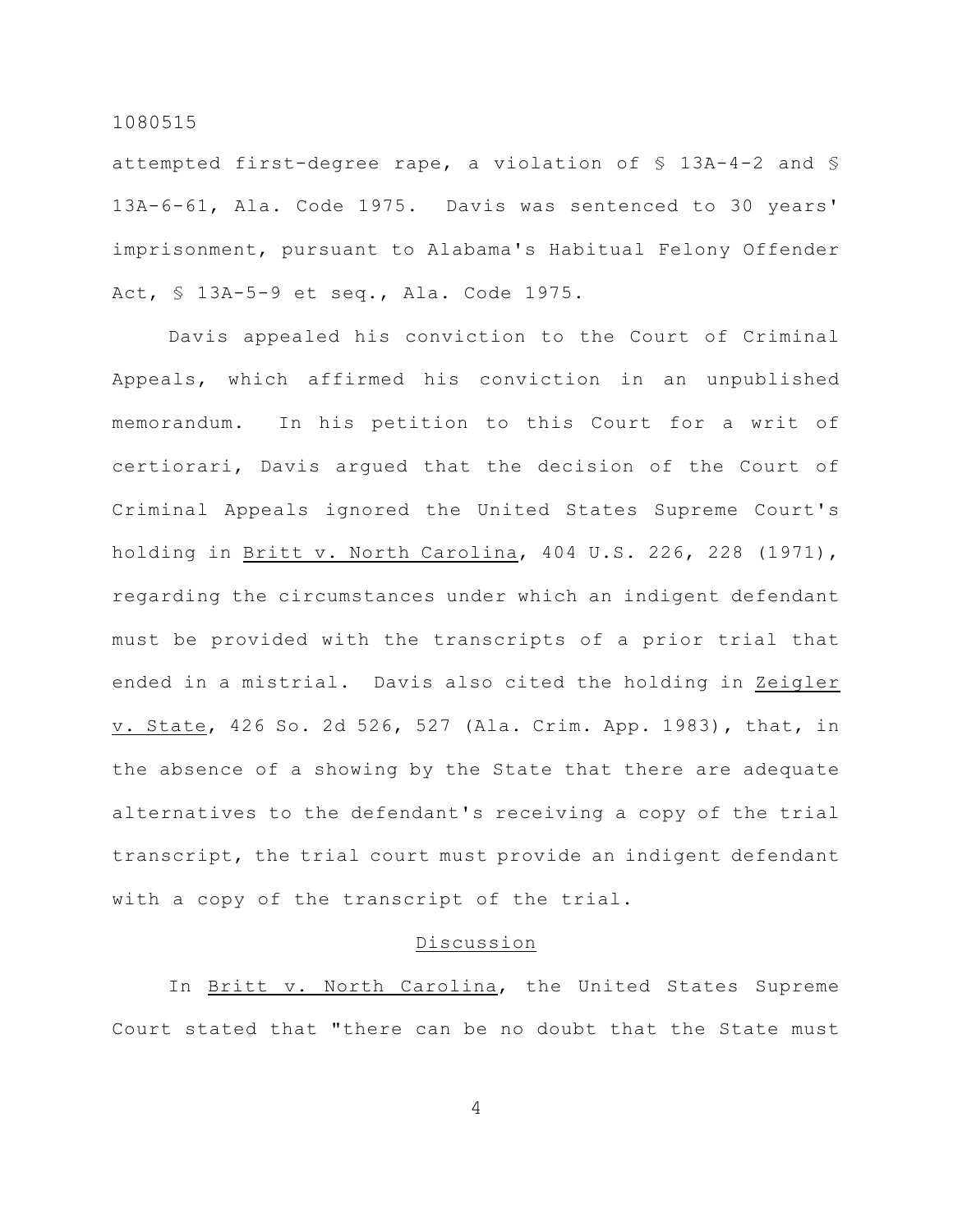attempted first-degree rape, a violation of § 13A-4-2 and § 13A-6-61, Ala. Code 1975. Davis was sentenced to 30 years' imprisonment, pursuant to Alabama's Habitual Felony Offender Act, § 13A-5-9 et seq., Ala. Code 1975.

Davis appealed his conviction to the Court of Criminal Appeals, which affirmed his conviction in an unpublished memorandum. In his petition to this Court for a writ of certiorari, Davis argued that the decision of the Court of Criminal Appeals ignored the United States Supreme Court's holding in Britt v. North Carolina, 404 U.S. 226, 228 (1971), regarding the circumstances under which an indigent defendant must be provided with the transcripts of a prior trial that ended in a mistrial. Davis also cited the holding in Zeigler v. State, 426 So. 2d 526, 527 (Ala. Crim. App. 1983), that, in the absence of a showing by the State that there are adequate alternatives to the defendant's receiving a copy of the trial transcript, the trial court must provide an indigent defendant with a copy of the transcript of the trial.

## Discussion

In Britt v. North Carolina, the United States Supreme Court stated that "there can be no doubt that the State must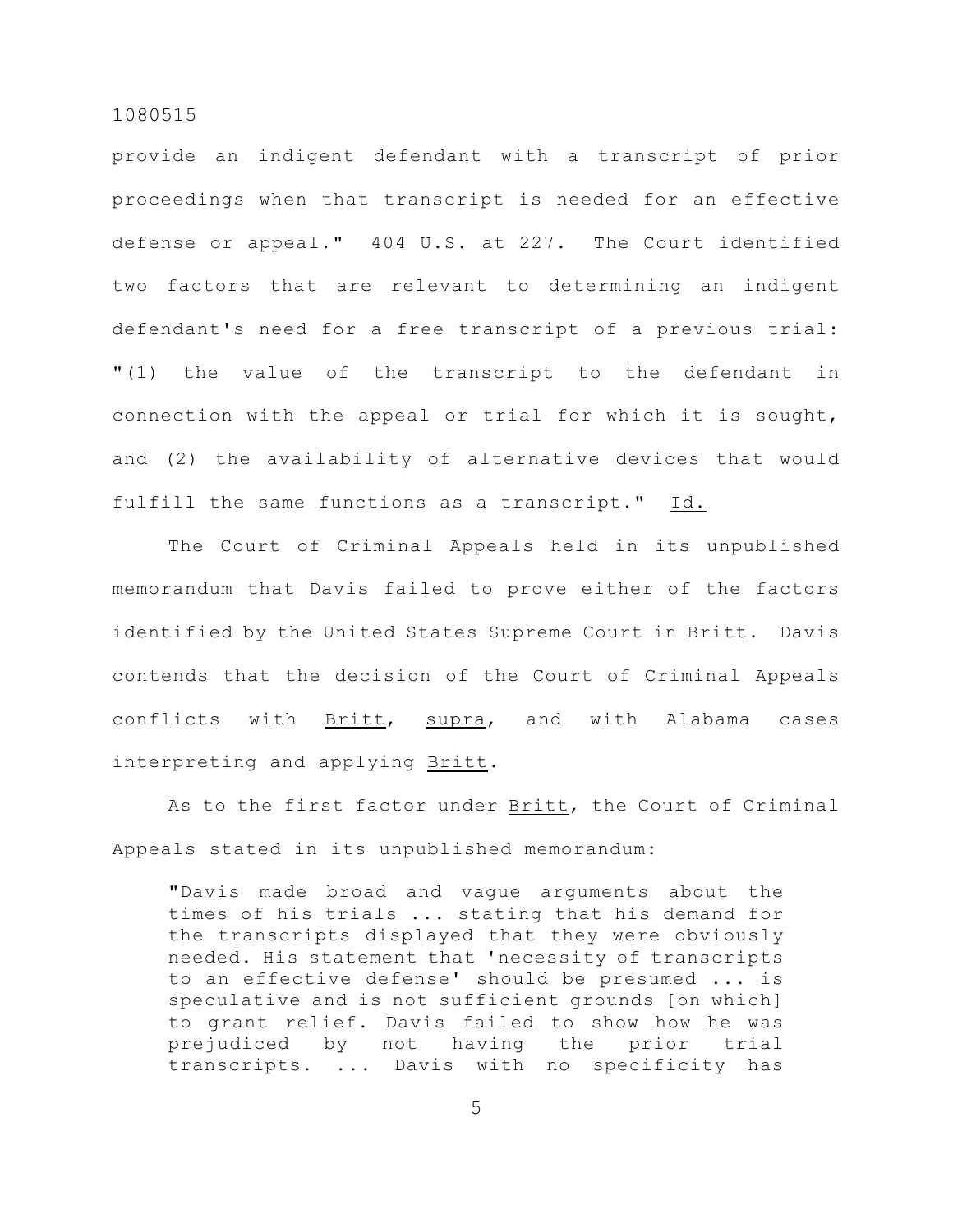provide an indigent defendant with a transcript of prior proceedings when that transcript is needed for an effective defense or appeal." 404 U.S. at 227. The Court identified two factors that are relevant to determining an indigent defendant's need for a free transcript of a previous trial: "(1) the value of the transcript to the defendant in connection with the appeal or trial for which it is sought, and (2) the availability of alternative devices that would fulfill the same functions as a transcript." Id.

The Court of Criminal Appeals held in its unpublished memorandum that Davis failed to prove either of the factors identified by the United States Supreme Court in Britt. Davis contends that the decision of the Court of Criminal Appeals conflicts with Britt, supra, and with Alabama cases interpreting and applying Britt.

As to the first factor under Britt, the Court of Criminal Appeals stated in its unpublished memorandum:

"Davis made broad and vague arguments about the times of his trials ... stating that his demand for the transcripts displayed that they were obviously needed. His statement that 'necessity of transcripts to an effective defense' should be presumed ... is speculative and is not sufficient grounds [on which] to grant relief. Davis failed to show how he was prejudiced by not having the prior trial transcripts. ... Davis with no specificity has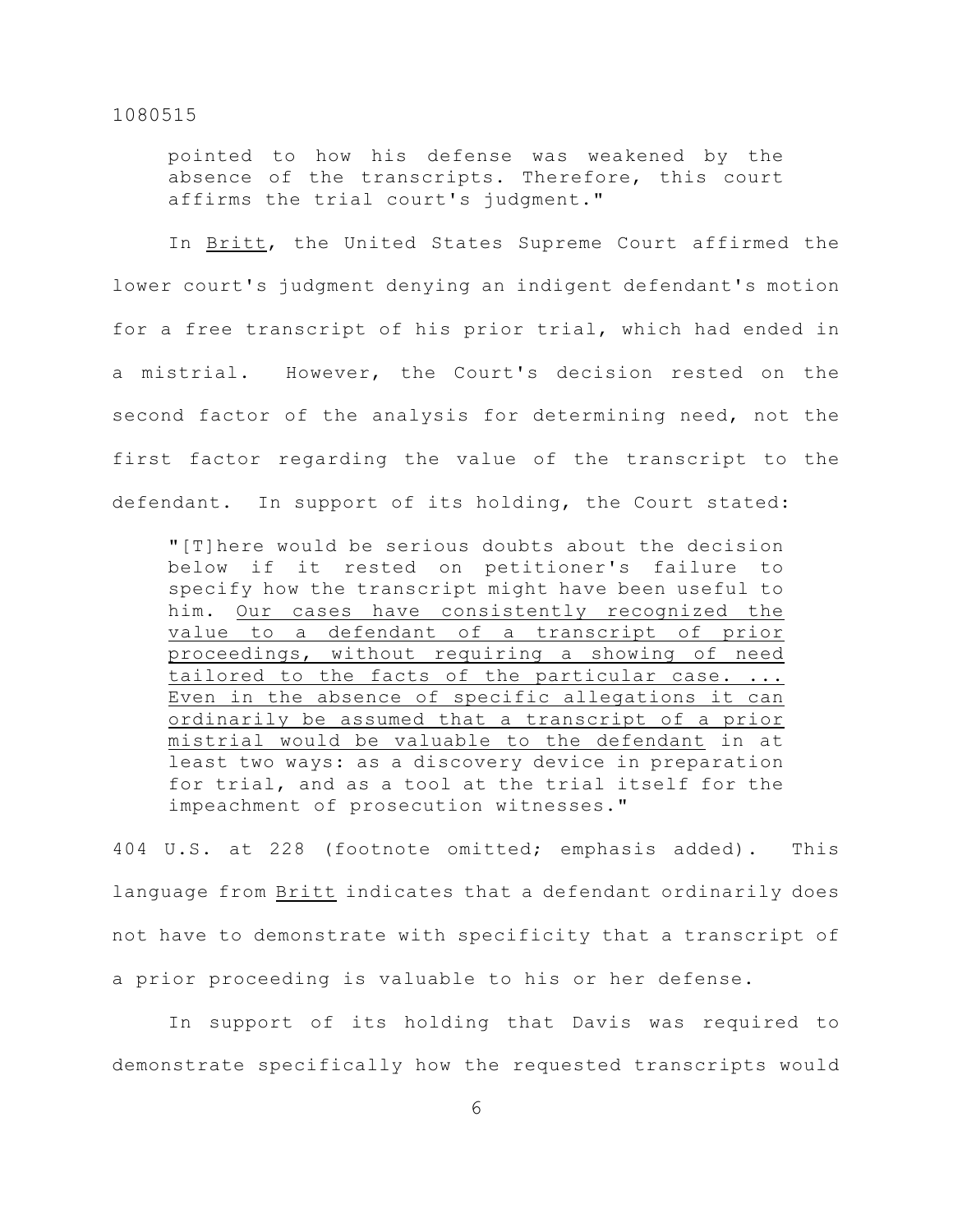pointed to how his defense was weakened by the absence of the transcripts. Therefore, this court affirms the trial court's judgment."

In Britt, the United States Supreme Court affirmed the lower court's judgment denying an indigent defendant's motion for a free transcript of his prior trial, which had ended in a mistrial. However, the Court's decision rested on the second factor of the analysis for determining need, not the first factor regarding the value of the transcript to the defendant. In support of its holding, the Court stated:

"[T]here would be serious doubts about the decision below if it rested on petitioner's failure to specify how the transcript might have been useful to him. Our cases have consistently recognized the value to a defendant of a transcript of prior proceedings, without requiring a showing of need tailored to the facts of the particular case. ... Even in the absence of specific allegations it can ordinarily be assumed that a transcript of a prior mistrial would be valuable to the defendant in at least two ways: as a discovery device in preparation for trial, and as a tool at the trial itself for the impeachment of prosecution witnesses."

404 U.S. at 228 (footnote omitted; emphasis added). This language from Britt indicates that a defendant ordinarily does not have to demonstrate with specificity that a transcript of a prior proceeding is valuable to his or her defense.

In support of its holding that Davis was required to demonstrate specifically how the requested transcripts would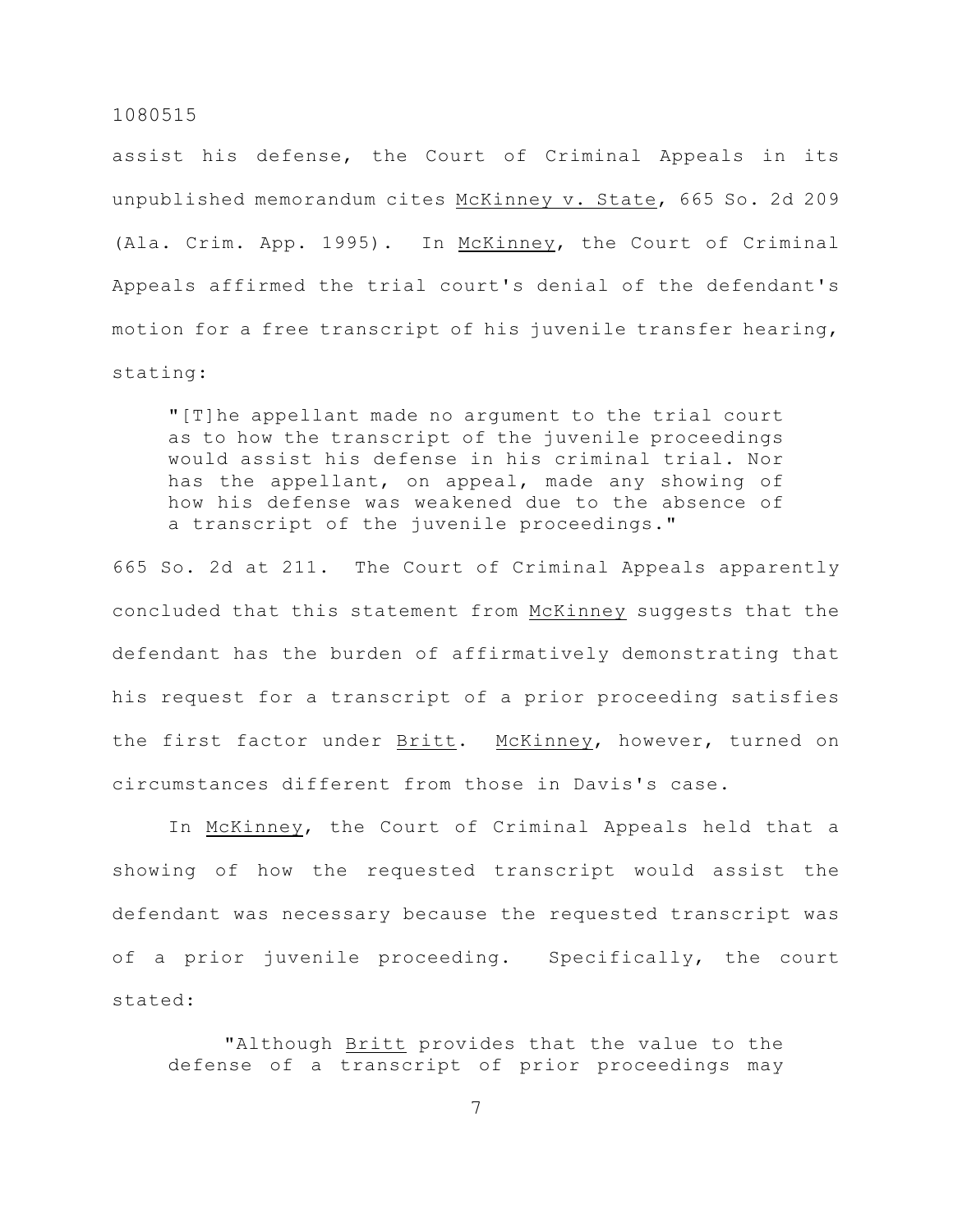assist his defense, the Court of Criminal Appeals in its unpublished memorandum cites McKinney v. State, 665 So. 2d 209 (Ala. Crim. App. 1995). In McKinney, the Court of Criminal Appeals affirmed the trial court's denial of the defendant's motion for a free transcript of his juvenile transfer hearing, stating:

"[T]he appellant made no argument to the trial court as to how the transcript of the juvenile proceedings would assist his defense in his criminal trial. Nor has the appellant, on appeal, made any showing of how his defense was weakened due to the absence of a transcript of the juvenile proceedings."

665 So. 2d at 211. The Court of Criminal Appeals apparently concluded that this statement from McKinney suggests that the defendant has the burden of affirmatively demonstrating that his request for a transcript of a prior proceeding satisfies the first factor under Britt. McKinney, however, turned on circumstances different from those in Davis's case.

In McKinney, the Court of Criminal Appeals held that a showing of how the requested transcript would assist the defendant was necessary because the requested transcript was of a prior juvenile proceeding. Specifically, the court stated:

"Although Britt provides that the value to the defense of a transcript of prior proceedings may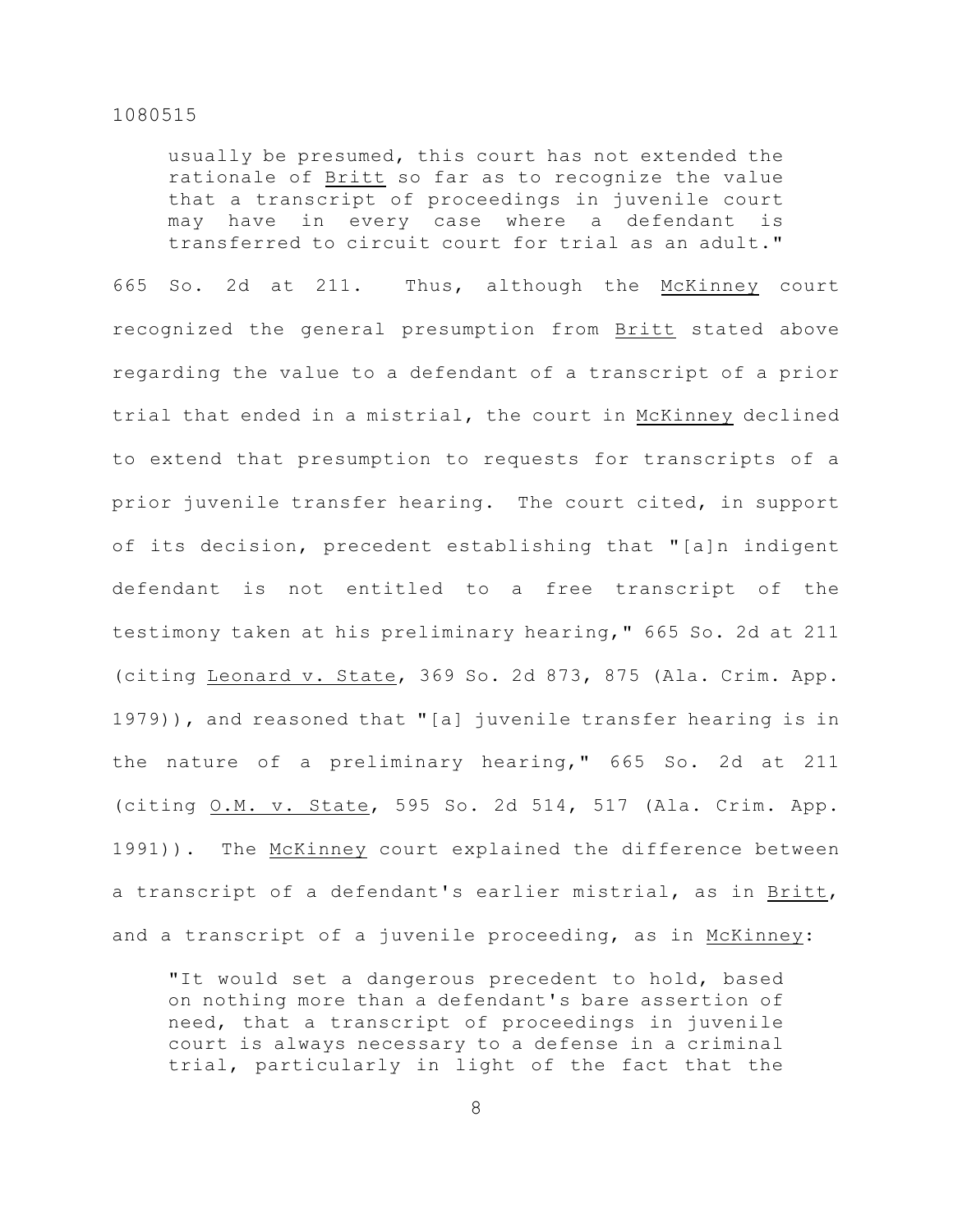usually be presumed, this court has not extended the rationale of Britt so far as to recognize the value that a transcript of proceedings in juvenile court may have in every case where a defendant is transferred to circuit court for trial as an adult."

665 So. 2d at 211. Thus, although the McKinney court recognized the general presumption from Britt stated above regarding the value to a defendant of a transcript of a prior trial that ended in a mistrial, the court in McKinney declined to extend that presumption to requests for transcripts of a prior juvenile transfer hearing. The court cited, in support of its decision, precedent establishing that "[a]n indigent defendant is not entitled to a free transcript of the testimony taken at his preliminary hearing," 665 So. 2d at 211 (citing Leonard v. State, 369 So. 2d 873, 875 (Ala. Crim. App. 1979)), and reasoned that "[a] juvenile transfer hearing is in the nature of a preliminary hearing," 665 So. 2d at 211 (citing O.M. v. State, 595 So. 2d 514, 517 (Ala. Crim. App. 1991)). The McKinney court explained the difference between a transcript of a defendant's earlier mistrial, as in Britt, and a transcript of a juvenile proceeding, as in McKinney:

"It would set a dangerous precedent to hold, based on nothing more than a defendant's bare assertion of need, that a transcript of proceedings in juvenile court is always necessary to a defense in a criminal trial, particularly in light of the fact that the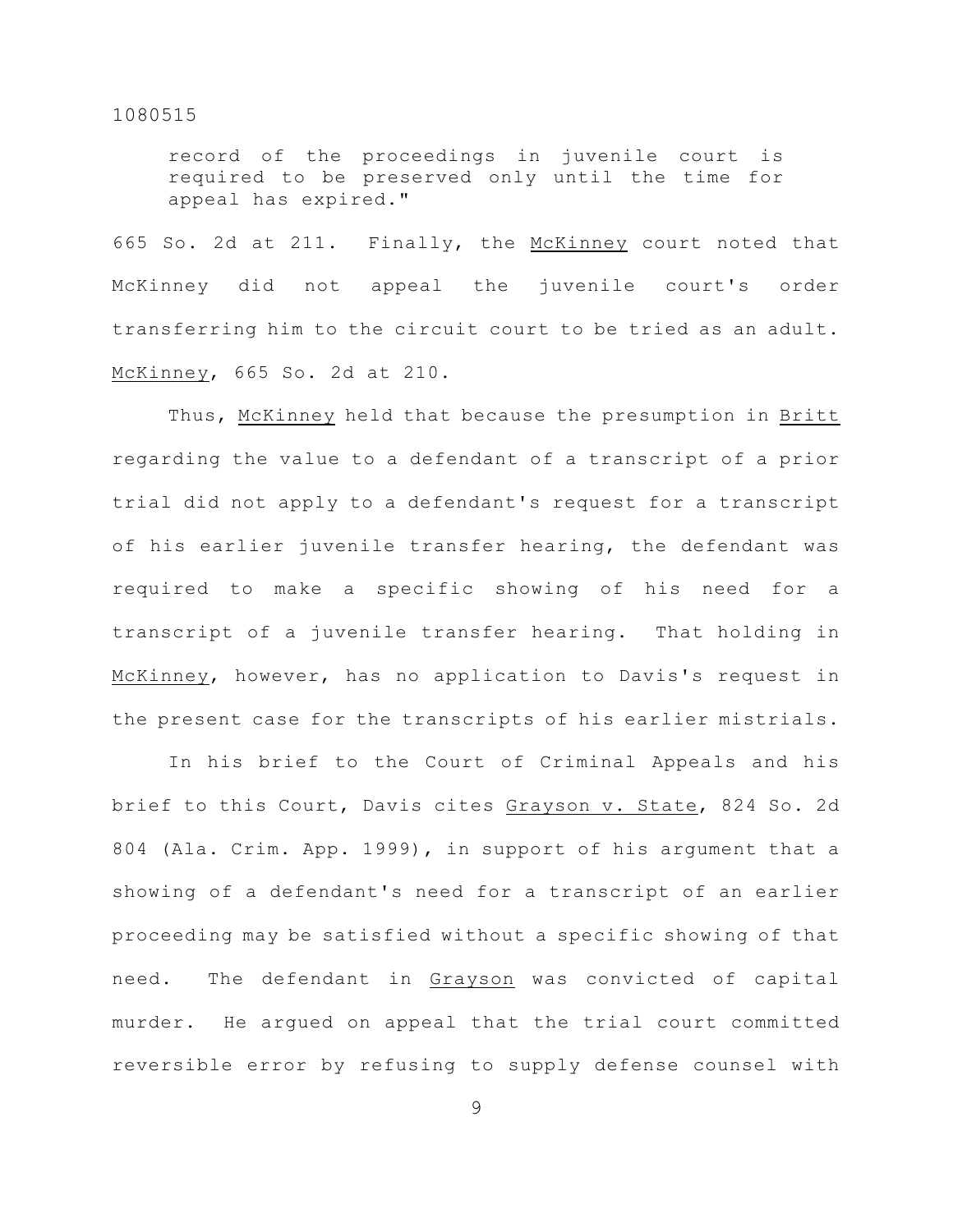record of the proceedings in juvenile court is required to be preserved only until the time for appeal has expired."

665 So. 2d at 211. Finally, the McKinney court noted that McKinney did not appeal the juvenile court's order transferring him to the circuit court to be tried as an adult. McKinney, 665 So. 2d at 210.

Thus, McKinney held that because the presumption in Britt regarding the value to a defendant of a transcript of a prior trial did not apply to a defendant's request for a transcript of his earlier juvenile transfer hearing, the defendant was required to make a specific showing of his need for a transcript of a juvenile transfer hearing. That holding in McKinney, however, has no application to Davis's request in the present case for the transcripts of his earlier mistrials.

In his brief to the Court of Criminal Appeals and his brief to this Court, Davis cites Grayson v. State, 824 So. 2d 804 (Ala. Crim. App. 1999), in support of his argument that a showing of a defendant's need for a transcript of an earlier proceeding may be satisfied without a specific showing of that need. The defendant in Grayson was convicted of capital murder. He argued on appeal that the trial court committed reversible error by refusing to supply defense counsel with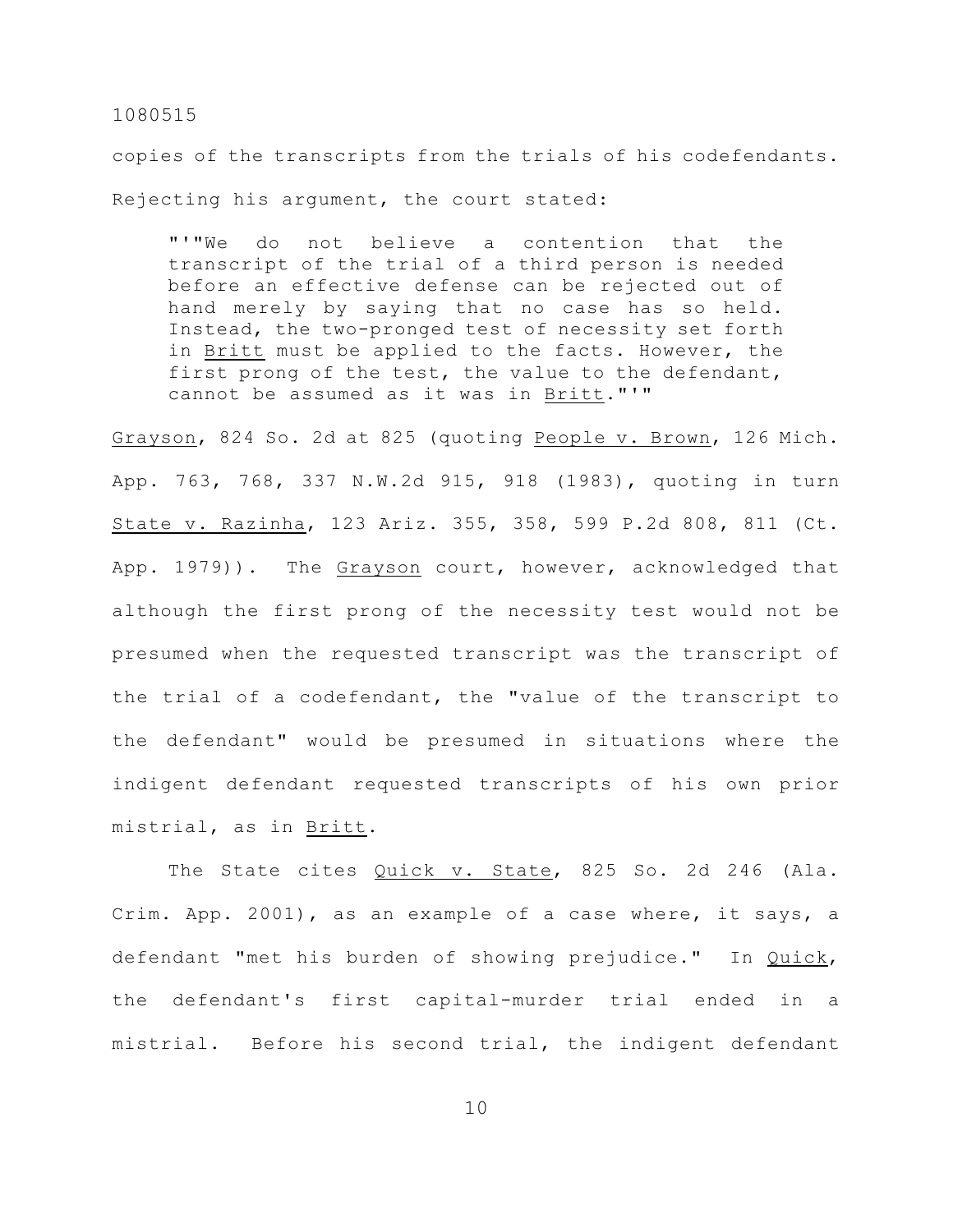copies of the transcripts from the trials of his codefendants. Rejecting his argument, the court stated:

"'"We do not believe a contention that the transcript of the trial of a third person is needed before an effective defense can be rejected out of hand merely by saying that no case has so held. Instead, the two-pronged test of necessity set forth in Britt must be applied to the facts. However, the first prong of the test, the value to the defendant, cannot be assumed as it was in Britt."'"

Grayson, 824 So. 2d at 825 (quoting People v. Brown, 126 Mich. App. 763, 768, 337 N.W.2d 915, 918 (1983), quoting in turn State v. Razinha, 123 Ariz. 355, 358, 599 P.2d 808, 811 (Ct. App. 1979)). The Grayson court, however, acknowledged that although the first prong of the necessity test would not be presumed when the requested transcript was the transcript of the trial of a codefendant, the "value of the transcript to the defendant" would be presumed in situations where the indigent defendant requested transcripts of his own prior mistrial, as in Britt.

The State cites Quick v. State, 825 So. 2d 246 (Ala. Crim. App. 2001), as an example of a case where, it says, a defendant "met his burden of showing prejudice." In Quick, the defendant's first capital-murder trial ended in a mistrial. Before his second trial, the indigent defendant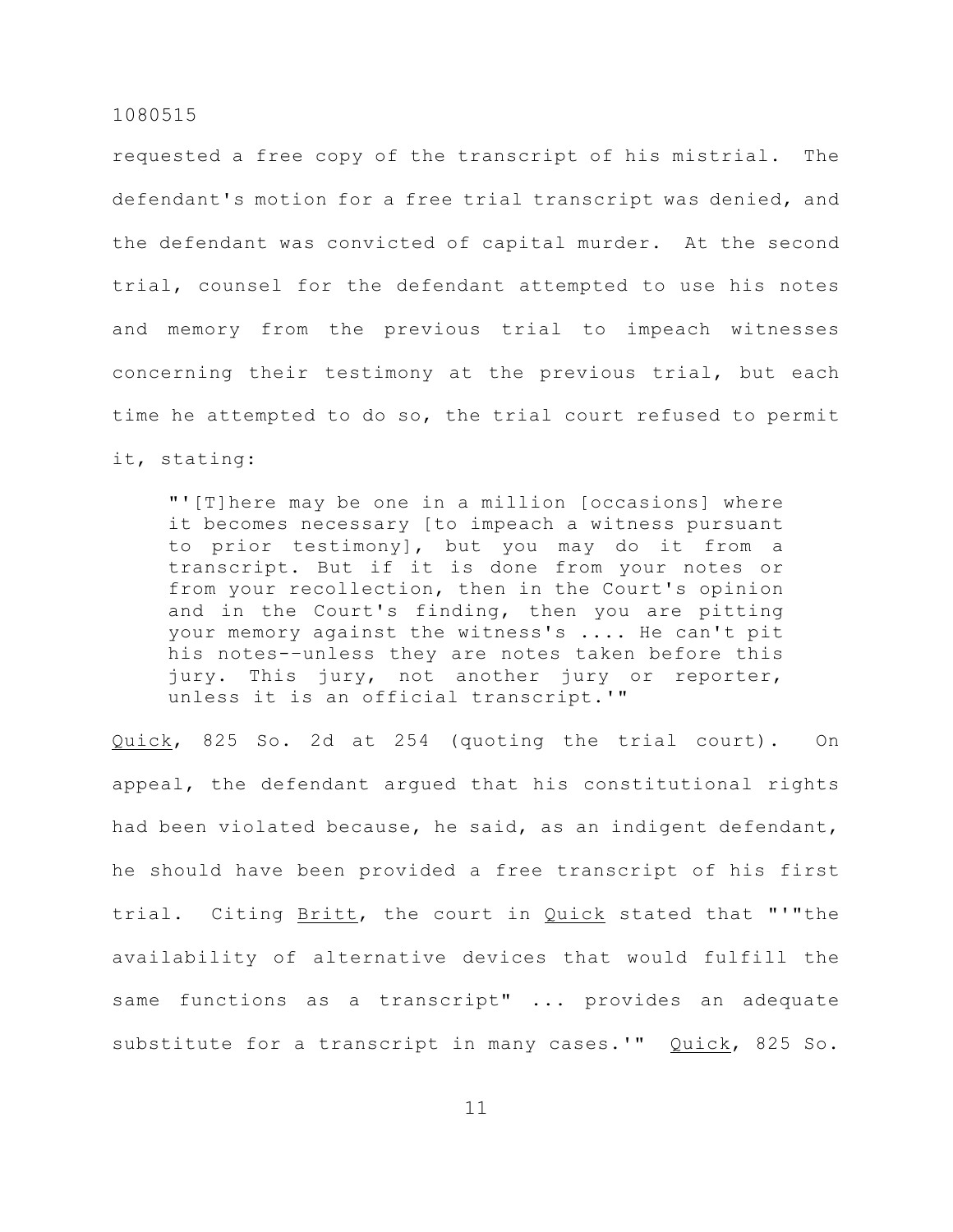requested a free copy of the transcript of his mistrial. The defendant's motion for a free trial transcript was denied, and the defendant was convicted of capital murder. At the second trial, counsel for the defendant attempted to use his notes and memory from the previous trial to impeach witnesses concerning their testimony at the previous trial, but each time he attempted to do so, the trial court refused to permit it, stating:

"'[T]here may be one in a million [occasions] where it becomes necessary [to impeach a witness pursuant to prior testimony], but you may do it from a transcript. But if it is done from your notes or from your recollection, then in the Court's opinion and in the Court's finding, then you are pitting your memory against the witness's .... He can't pit his notes-–unless they are notes taken before this jury. This jury, not another jury or reporter, unless it is an official transcript.'"

Quick, 825 So. 2d at 254 (quoting the trial court). On appeal, the defendant argued that his constitutional rights had been violated because, he said, as an indigent defendant, he should have been provided a free transcript of his first trial. Citing Britt, the court in Quick stated that "'"the availability of alternative devices that would fulfill the same functions as a transcript" ... provides an adequate substitute for a transcript in many cases.'" Quick, 825 So.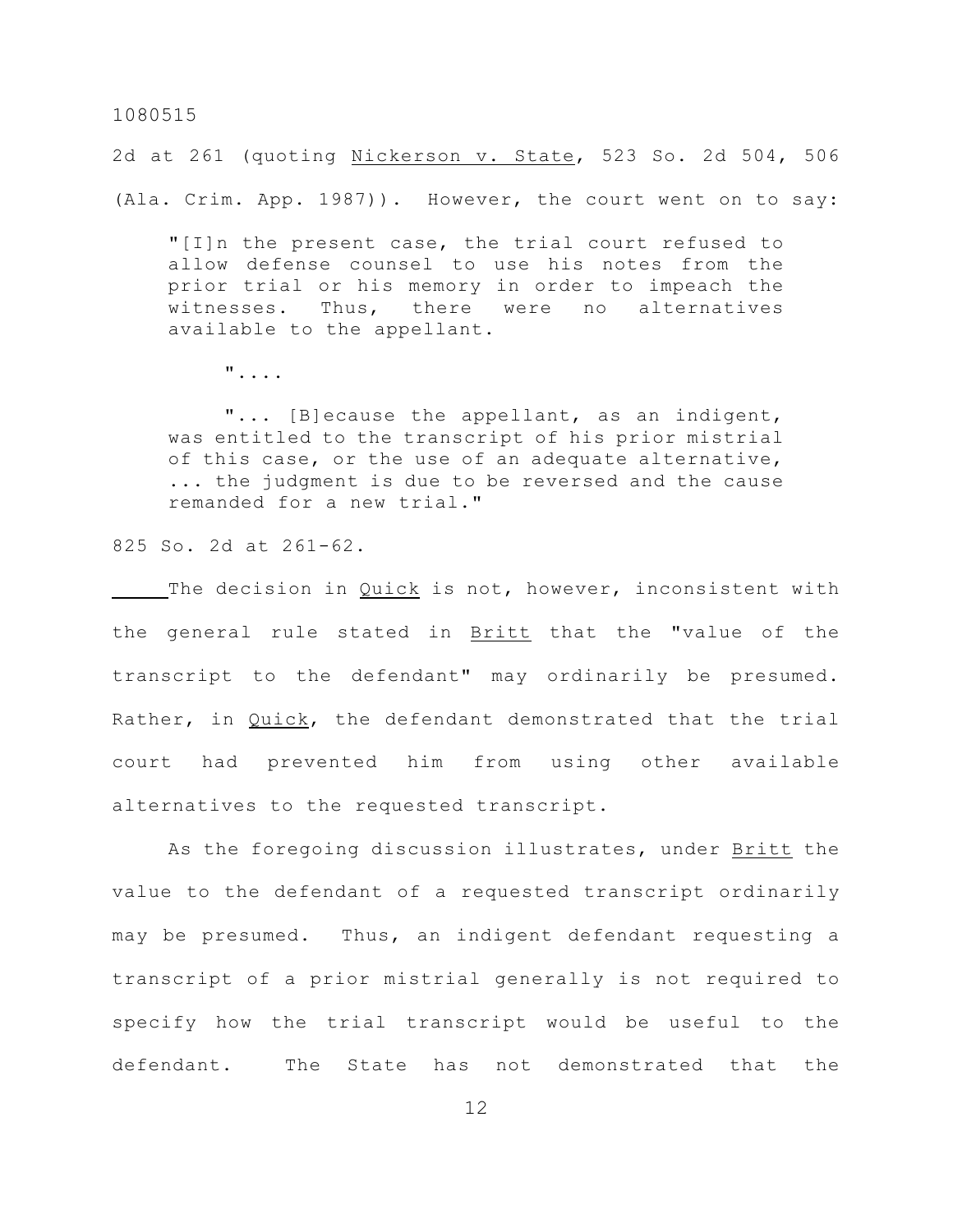2d at 261 (quoting Nickerson v. State, 523 So. 2d 504, 506 (Ala. Crim. App. 1987)). However, the court went on to say:

"[I]n the present case, the trial court refused to allow defense counsel to use his notes from the prior trial or his memory in order to impeach the witnesses. Thus, there were no alternatives available to the appellant.

"....

"... [B]ecause the appellant, as an indigent, was entitled to the transcript of his prior mistrial of this case, or the use of an adequate alternative, ... the judgment is due to be reversed and the cause remanded for a new trial."

825 So. 2d at 261-62.

The decision in Quick is not, however, inconsistent with the general rule stated in Britt that the "value of the transcript to the defendant" may ordinarily be presumed. Rather, in Quick, the defendant demonstrated that the trial court had prevented him from using other available alternatives to the requested transcript.

As the foregoing discussion illustrates, under Britt the value to the defendant of a requested transcript ordinarily may be presumed. Thus, an indigent defendant requesting a transcript of a prior mistrial generally is not required to specify how the trial transcript would be useful to the defendant. The State has not demonstrated that the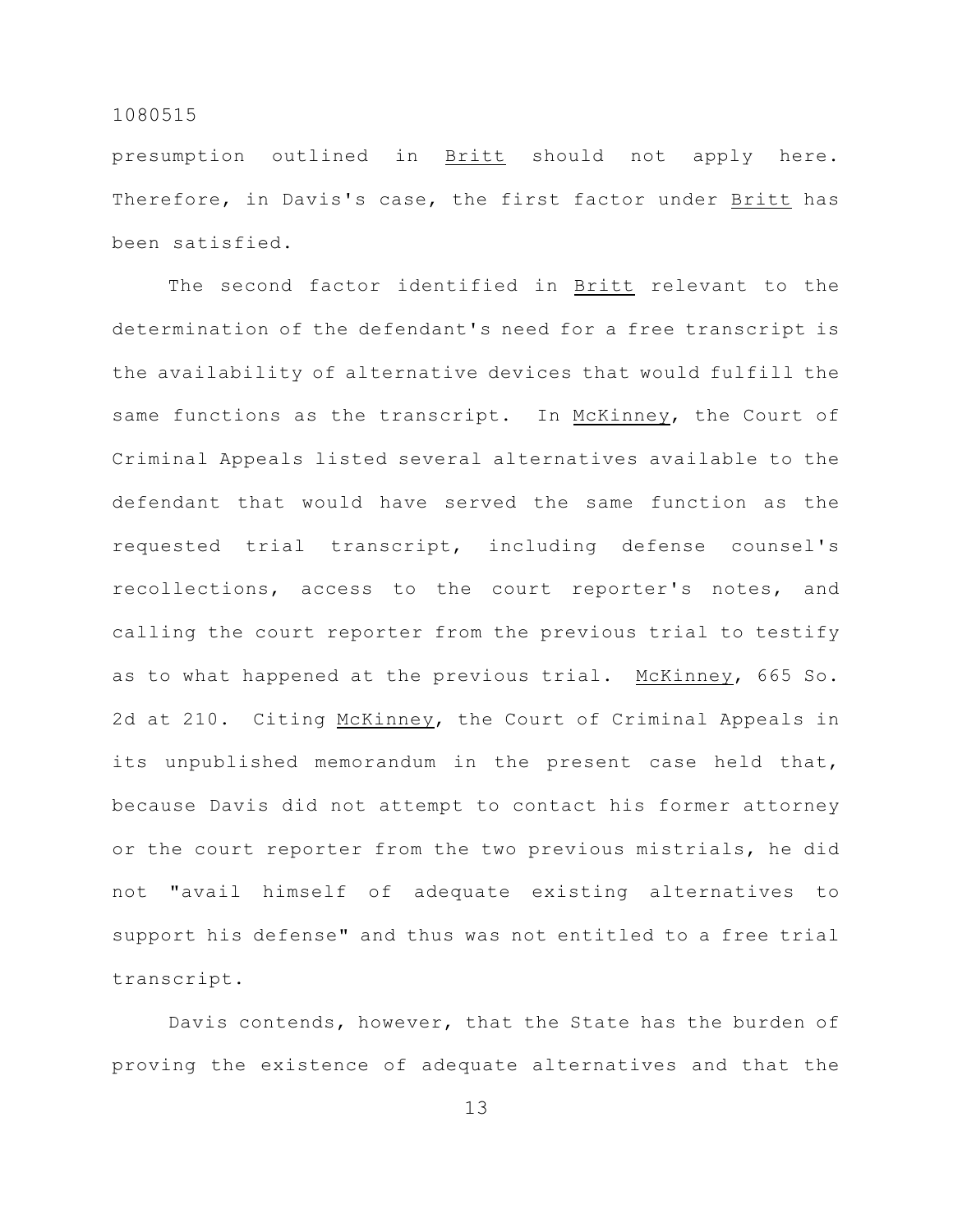presumption outlined in Britt should not apply here. Therefore, in Davis's case, the first factor under Britt has been satisfied.

The second factor identified in Britt relevant to the determination of the defendant's need for a free transcript is the availability of alternative devices that would fulfill the same functions as the transcript. In McKinney, the Court of Criminal Appeals listed several alternatives available to the defendant that would have served the same function as the requested trial transcript, including defense counsel's recollections, access to the court reporter's notes, and calling the court reporter from the previous trial to testify as to what happened at the previous trial. McKinney, 665 So. 2d at 210. Citing McKinney, the Court of Criminal Appeals in its unpublished memorandum in the present case held that, because Davis did not attempt to contact his former attorney or the court reporter from the two previous mistrials, he did not "avail himself of adequate existing alternatives to support his defense" and thus was not entitled to a free trial transcript.

Davis contends, however, that the State has the burden of proving the existence of adequate alternatives and that the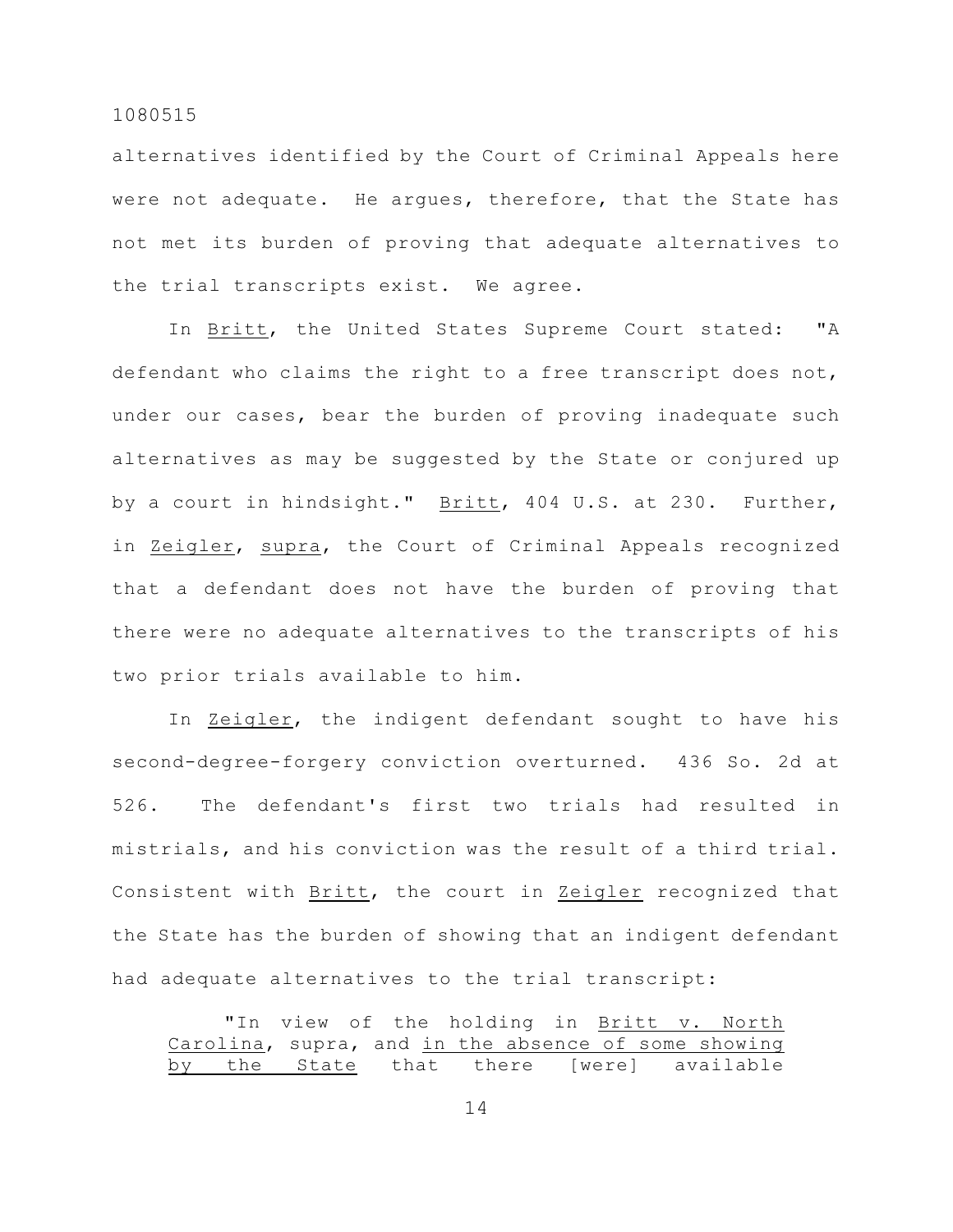alternatives identified by the Court of Criminal Appeals here were not adequate. He argues, therefore, that the State has not met its burden of proving that adequate alternatives to the trial transcripts exist. We agree.

In Britt, the United States Supreme Court stated: "A defendant who claims the right to a free transcript does not, under our cases, bear the burden of proving inadequate such alternatives as may be suggested by the State or conjured up by a court in hindsight." Britt, 404 U.S. at 230. Further, in Zeigler, supra, the Court of Criminal Appeals recognized that a defendant does not have the burden of proving that there were no adequate alternatives to the transcripts of his two prior trials available to him.

In Zeigler, the indigent defendant sought to have his second-degree-forgery conviction overturned. 436 So. 2d at 526. The defendant's first two trials had resulted in mistrials, and his conviction was the result of a third trial. Consistent with Britt, the court in Zeigler recognized that the State has the burden of showing that an indigent defendant had adequate alternatives to the trial transcript:

"In view of the holding in Britt v. North Carolina, supra, and in the absence of some showing by the State that there [were] available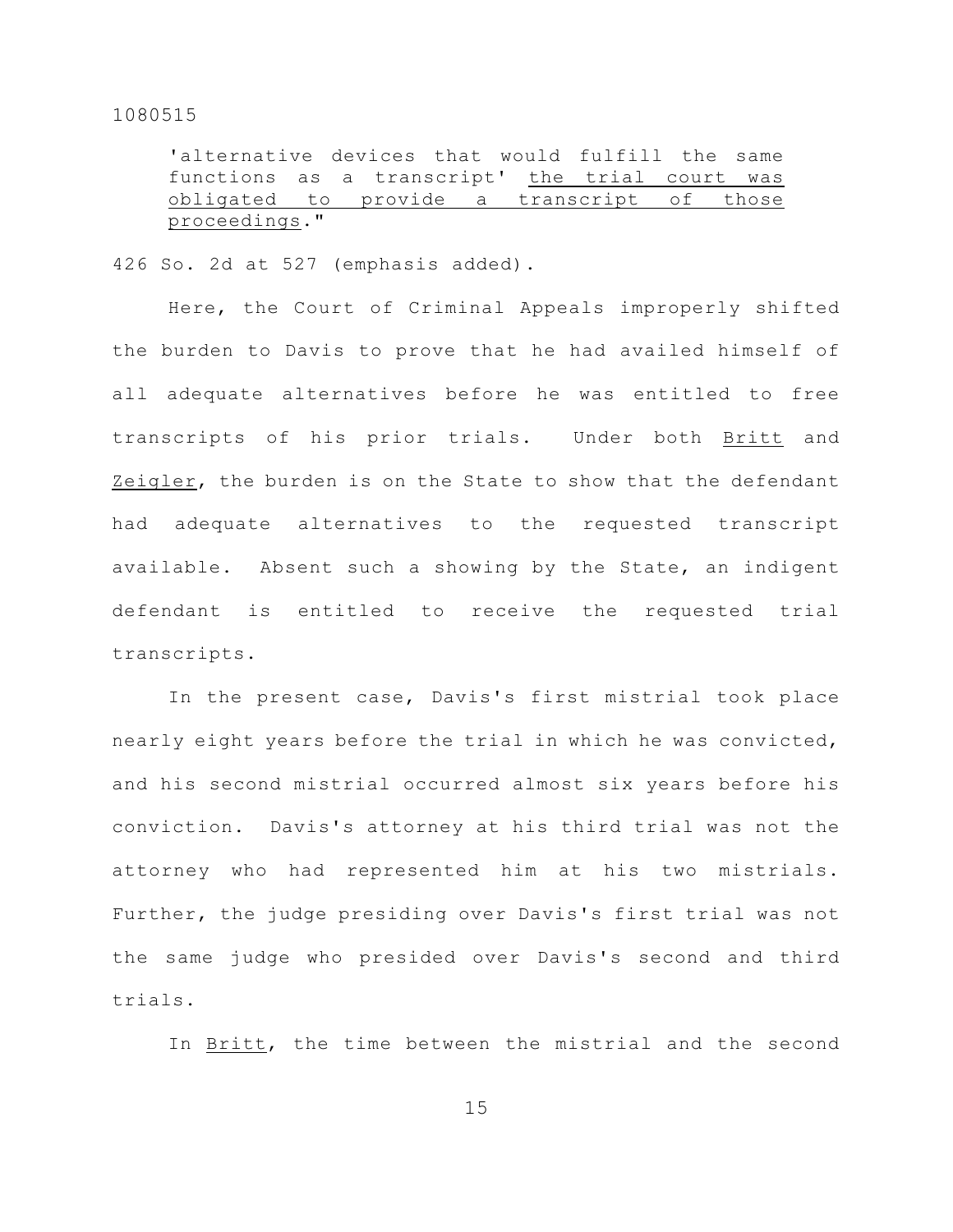'alternative devices that would fulfill the same functions as a transcript' the trial court was obligated to provide a transcript of those proceedings."

426 So. 2d at 527 (emphasis added).

Here, the Court of Criminal Appeals improperly shifted the burden to Davis to prove that he had availed himself of all adequate alternatives before he was entitled to free transcripts of his prior trials. Under both Britt and Zeigler, the burden is on the State to show that the defendant had adequate alternatives to the requested transcript available. Absent such a showing by the State, an indigent defendant is entitled to receive the requested trial transcripts.

In the present case, Davis's first mistrial took place nearly eight years before the trial in which he was convicted, and his second mistrial occurred almost six years before his conviction. Davis's attorney at his third trial was not the attorney who had represented him at his two mistrials. Further, the judge presiding over Davis's first trial was not the same judge who presided over Davis's second and third trials.

In Britt, the time between the mistrial and the second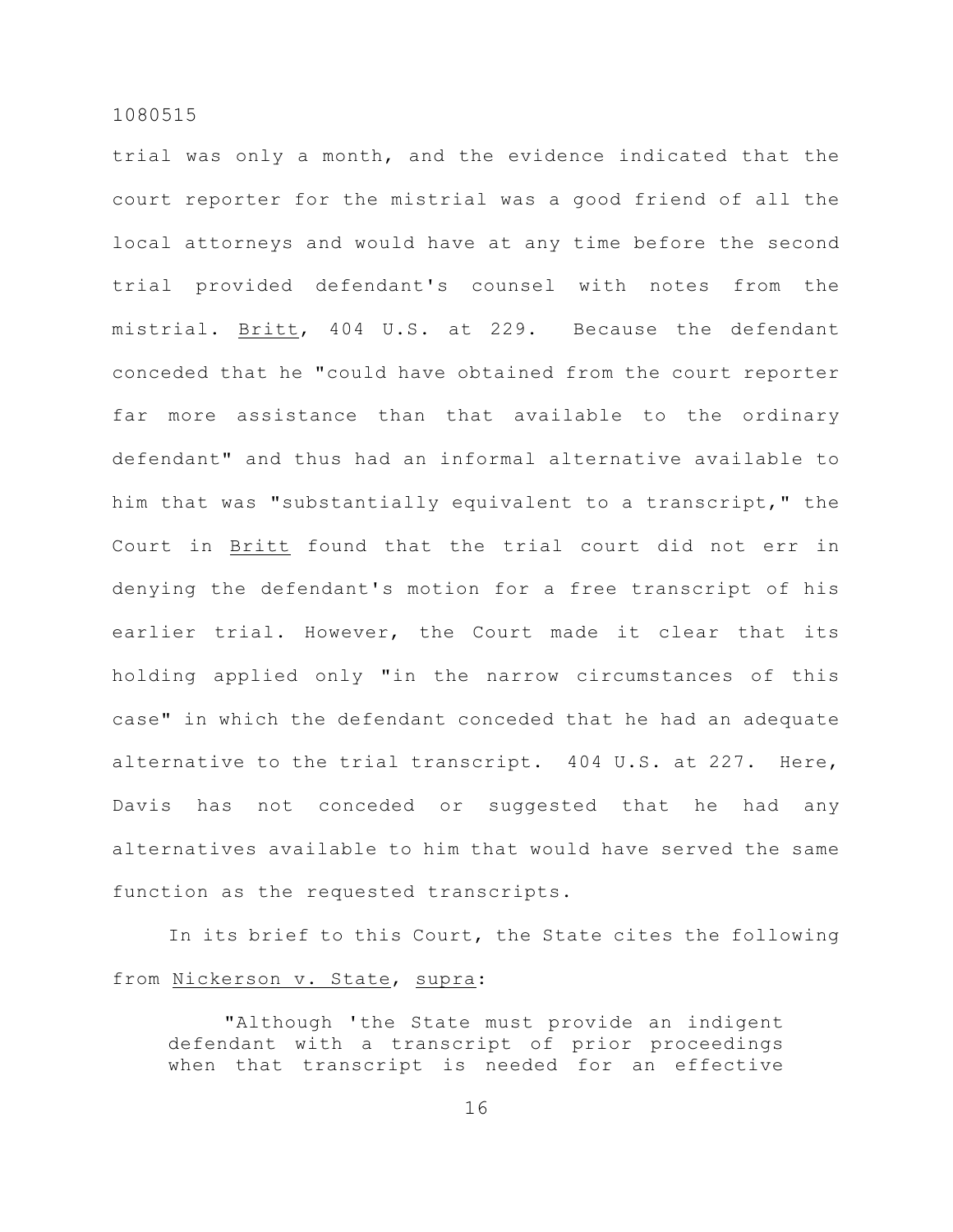trial was only a month, and the evidence indicated that the court reporter for the mistrial was a good friend of all the local attorneys and would have at any time before the second trial provided defendant's counsel with notes from the mistrial. Britt, 404 U.S. at 229. Because the defendant conceded that he "could have obtained from the court reporter far more assistance than that available to the ordinary defendant" and thus had an informal alternative available to him that was "substantially equivalent to a transcript," the Court in Britt found that the trial court did not err in denying the defendant's motion for a free transcript of his earlier trial. However, the Court made it clear that its holding applied only "in the narrow circumstances of this case" in which the defendant conceded that he had an adequate alternative to the trial transcript. 404 U.S. at 227. Here, Davis has not conceded or suggested that he had any alternatives available to him that would have served the same function as the requested transcripts.

In its brief to this Court, the State cites the following from Nickerson v. State, supra:

"Although 'the State must provide an indigent defendant with a transcript of prior proceedings when that transcript is needed for an effective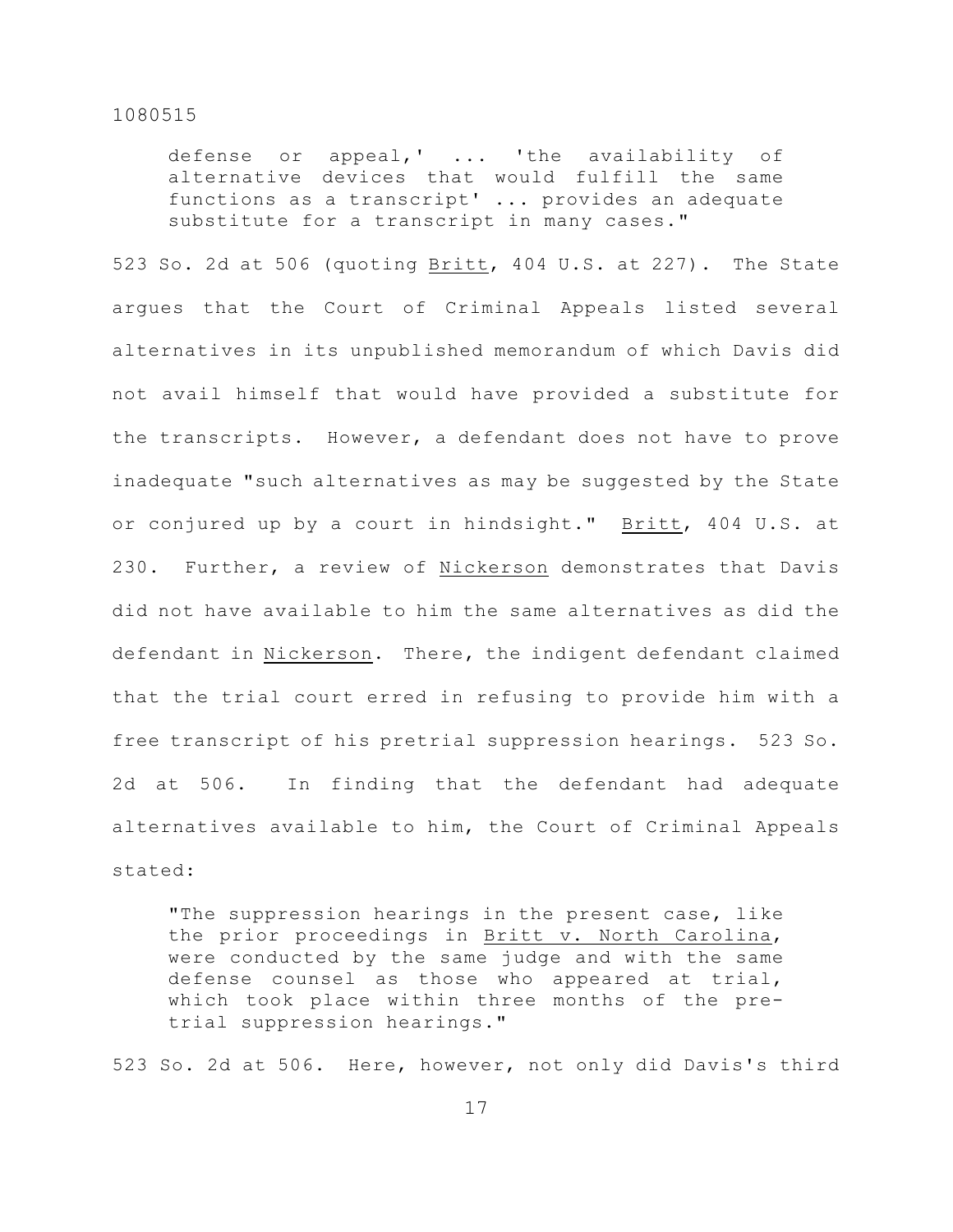defense or appeal,' ... 'the availability of alternative devices that would fulfill the same functions as a transcript' ... provides an adequate substitute for a transcript in many cases."

523 So. 2d at 506 (quoting Britt, 404 U.S. at 227). The State argues that the Court of Criminal Appeals listed several alternatives in its unpublished memorandum of which Davis did not avail himself that would have provided a substitute for the transcripts. However, a defendant does not have to prove inadequate "such alternatives as may be suggested by the State or conjured up by a court in hindsight." Britt, 404 U.S. at 230. Further, a review of Nickerson demonstrates that Davis did not have available to him the same alternatives as did the defendant in Nickerson. There, the indigent defendant claimed that the trial court erred in refusing to provide him with a free transcript of his pretrial suppression hearings. 523 So. 2d at 506. In finding that the defendant had adequate alternatives available to him, the Court of Criminal Appeals stated:

"The suppression hearings in the present case, like the prior proceedings in Britt v. North Carolina, were conducted by the same judge and with the same defense counsel as those who appeared at trial, which took place within three months of the pretrial suppression hearings."

523 So. 2d at 506. Here, however, not only did Davis's third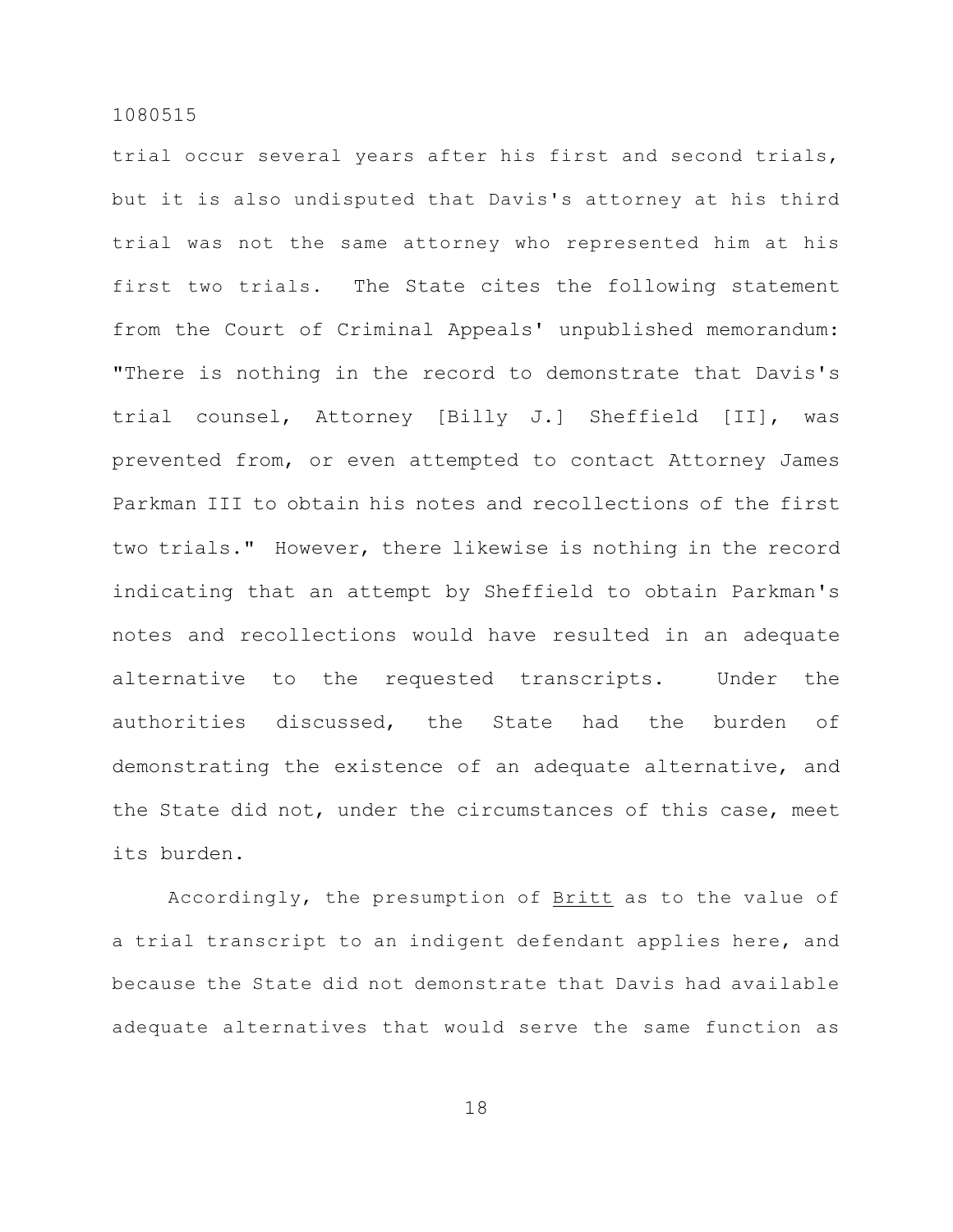trial occur several years after his first and second trials, but it is also undisputed that Davis's attorney at his third trial was not the same attorney who represented him at his first two trials. The State cites the following statement from the Court of Criminal Appeals' unpublished memorandum: "There is nothing in the record to demonstrate that Davis's trial counsel, Attorney [Billy J.] Sheffield [II], was prevented from, or even attempted to contact Attorney James Parkman III to obtain his notes and recollections of the first two trials." However, there likewise is nothing in the record indicating that an attempt by Sheffield to obtain Parkman's notes and recollections would have resulted in an adequate alternative to the requested transcripts. Under the authorities discussed, the State had the burden of demonstrating the existence of an adequate alternative, and the State did not, under the circumstances of this case, meet its burden.

Accordingly, the presumption of Britt as to the value of a trial transcript to an indigent defendant applies here, and because the State did not demonstrate that Davis had available adequate alternatives that would serve the same function as